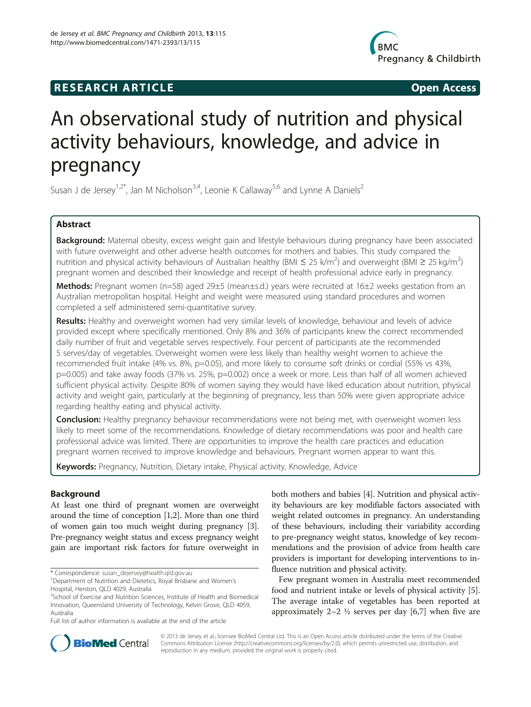# **RESEARCH ARTICLE Example 20 and 20 and 20 and 20 and 20 and 20 and 20 and 20 and 20 and 20 and 20 and 20 and 20 and 20 and 20 and 20 and 20 and 20 and 20 and 20 and 20 and 20 and 20 and 20 and 20 and 20 and 20 and 20 an**



# An observational study of nutrition and physical activity behaviours, knowledge, and advice in pregnancy

Susan J de Jersey<sup>1,2\*</sup>, Jan M Nicholson<sup>3,4</sup>, Leonie K Callaway<sup>5,6</sup> and Lynne A Daniels<sup>2</sup>

# Abstract

Background: Maternal obesity, excess weight gain and lifestyle behaviours during pregnancy have been associated with future overweight and other adverse health outcomes for mothers and babies. This study compared the nutrition and physical activity behaviours of Australian healthy (BMI  $\leq$  25 k/m<sup>2</sup>) and overweight (BMI  $\geq$  25 kg/m<sup>2</sup>) pregnant women and described their knowledge and receipt of health professional advice early in pregnancy.

Methods: Pregnant women (n=58) aged 29±5 (mean±s.d.) years were recruited at 16±2 weeks gestation from an Australian metropolitan hospital. Height and weight were measured using standard procedures and women completed a self administered semi-quantitative survey.

Results: Healthy and overweight women had very similar levels of knowledge, behaviour and levels of advice provided except where specifically mentioned. Only 8% and 36% of participants knew the correct recommended daily number of fruit and vegetable serves respectively. Four percent of participants ate the recommended 5 serves/day of vegetables. Overweight women were less likely than healthy weight women to achieve the recommended fruit intake (4% vs. 8%, p=0.05), and more likely to consume soft drinks or cordial (55% vs 43%, p=0.005) and take away foods (37% vs. 25%, p=0.002) once a week or more. Less than half of all women achieved sufficient physical activity. Despite 80% of women saying they would have liked education about nutrition, physical activity and weight gain, particularly at the beginning of pregnancy, less than 50% were given appropriate advice regarding healthy eating and physical activity.

**Conclusion:** Healthy pregnancy behaviour recommendations were not being met, with overweight women less likely to meet some of the recommendations. Knowledge of dietary recommendations was poor and health care professional advice was limited. There are opportunities to improve the health care practices and education pregnant women received to improve knowledge and behaviours. Pregnant women appear to want this.

Keywords: Pregnancy, Nutrition, Dietary intake, Physical activity, Knowledge, Advice

# Background

At least one third of pregnant women are overweight around the time of conception [[1,2\]](#page-6-0). More than one third of women gain too much weight during pregnancy [[3](#page-6-0)]. Pre-pregnancy weight status and excess pregnancy weight gain are important risk factors for future overweight in

both mothers and babies [[4](#page-6-0)]. Nutrition and physical activity behaviours are key modifiable factors associated with weight related outcomes in pregnancy. An understanding of these behaviours, including their variability according to pre-pregnancy weight status, knowledge of key recommendations and the provision of advice from health care providers is important for developing interventions to influence nutrition and physical activity.

Few pregnant women in Australia meet recommended food and nutrient intake or levels of physical activity [\[5](#page-6-0)]. The average intake of vegetables has been reported at approximately  $2-2 \frac{1}{2}$  serves per day [\[6,7](#page-6-0)] when five are



© 2013 de Jersey et al.; licensee BioMed Central Ltd. This is an Open Access article distributed under the terms of the Creative Commons Attribution License [\(http://creativecommons.org/licenses/by/2.0\)](http://creativecommons.org/licenses/by/2.0), which permits unrestricted use, distribution, and reproduction in any medium, provided the original work is properly cited.

<sup>\*</sup> Correspondence: [susan\\_dejersey@health.qld.gov.au](mailto:susan_dejersey@health.qld.gov.au) <sup>1</sup>

<sup>&</sup>lt;sup>1</sup>Department of Nutrition and Dietetics, Royal Brisbane and Women's Hospital, Herston, QLD 4029, Australia

<sup>&</sup>lt;sup>2</sup>School of Exercise and Nutrition Sciences, Institute of Health and Biomedical Innovation, Queensland University of Technology, Kelvin Grove, QLD 4059, Australia

Full list of author information is available at the end of the article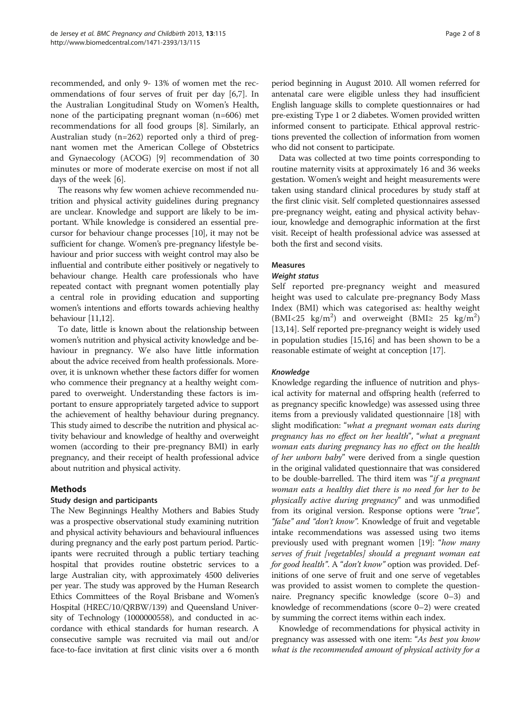<span id="page-1-0"></span>recommended, and only 9- 13% of women met the recommendations of four serves of fruit per day [[6,7\]](#page-6-0). In the Australian Longitudinal Study on Women's Health, none of the participating pregnant woman (n=606) met recommendations for all food groups [\[8](#page-6-0)]. Similarly, an Australian study (n=262) reported only a third of pregnant women met the American College of Obstetrics and Gynaecology (ACOG) [\[9](#page-6-0)] recommendation of 30 minutes or more of moderate exercise on most if not all days of the week [[6\]](#page-6-0).

The reasons why few women achieve recommended nutrition and physical activity guidelines during pregnancy are unclear. Knowledge and support are likely to be important. While knowledge is considered an essential precursor for behaviour change processes [[10\]](#page-6-0), it may not be sufficient for change. Women's pre-pregnancy lifestyle behaviour and prior success with weight control may also be influential and contribute either positively or negatively to behaviour change. Health care professionals who have repeated contact with pregnant women potentially play a central role in providing education and supporting women's intentions and efforts towards achieving healthy behaviour [[11,12](#page-6-0)].

To date, little is known about the relationship between women's nutrition and physical activity knowledge and behaviour in pregnancy. We also have little information about the advice received from health professionals. Moreover, it is unknown whether these factors differ for women who commence their pregnancy at a healthy weight compared to overweight. Understanding these factors is important to ensure appropriately targeted advice to support the achievement of healthy behaviour during pregnancy. This study aimed to describe the nutrition and physical activity behaviour and knowledge of healthy and overweight women (according to their pre-pregnancy BMI) in early pregnancy, and their receipt of health professional advice about nutrition and physical activity.

# Methods

#### Study design and participants

The New Beginnings Healthy Mothers and Babies Study was a prospective observational study examining nutrition and physical activity behaviours and behavioural influences during pregnancy and the early post partum period. Participants were recruited through a public tertiary teaching hospital that provides routine obstetric services to a large Australian city, with approximately 4500 deliveries per year. The study was approved by the Human Research Ethics Committees of the Royal Brisbane and Women's Hospital (HREC/10/QRBW/139) and Queensland University of Technology (1000000558), and conducted in accordance with ethical standards for human research. A consecutive sample was recruited via mail out and/or face-to-face invitation at first clinic visits over a 6 month period beginning in August 2010. All women referred for antenatal care were eligible unless they had insufficient English language skills to complete questionnaires or had pre-existing Type 1 or 2 diabetes. Women provided written informed consent to participate. Ethical approval restrictions prevented the collection of information from women who did not consent to participate.

Data was collected at two time points corresponding to routine maternity visits at approximately 16 and 36 weeks gestation. Women's weight and height measurements were taken using standard clinical procedures by study staff at the first clinic visit. Self completed questionnaires assessed pre-pregnancy weight, eating and physical activity behaviour, knowledge and demographic information at the first visit. Receipt of health professional advice was assessed at both the first and second visits.

# Measures

#### Weight status

Self reported pre-pregnancy weight and measured height was used to calculate pre-pregnancy Body Mass Index (BMI) which was categorised as: healthy weight (BMI<25 kg/m<sup>2</sup>) and overweight (BMI $\geq$  25 kg/m<sup>2</sup>) [[13,14](#page-7-0)]. Self reported pre-pregnancy weight is widely used in population studies [\[15,16](#page-7-0)] and has been shown to be a reasonable estimate of weight at conception [\[17\]](#page-7-0).

#### Knowledge

Knowledge regarding the influence of nutrition and physical activity for maternal and offspring health (referred to as pregnancy specific knowledge) was assessed using three items from a previously validated questionnaire [[18](#page-7-0)] with slight modification: "what a pregnant woman eats during pregnancy has no effect on her health", "what a pregnant woman eats during pregnancy has no effect on the health of her unborn baby" were derived from a single question in the original validated questionnaire that was considered to be double-barrelled. The third item was "if a pregnant woman eats a healthy diet there is no need for her to be physically active during pregnancy" and was unmodified from its original version. Response options were "true", "false" and "don't know". Knowledge of fruit and vegetable intake recommendations was assessed using two items previously used with pregnant women [\[19](#page-7-0)]: "*how many* serves of fruit [vegetables] should a pregnant woman eat for good health". A "don't know" option was provided. Definitions of one serve of fruit and one serve of vegetables was provided to assist women to complete the questionnaire. Pregnancy specific knowledge (score 0–3) and knowledge of recommendations (score 0–2) were created by summing the correct items within each index.

Knowledge of recommendations for physical activity in pregnancy was assessed with one item: "As best you know what is the recommended amount of physical activity for a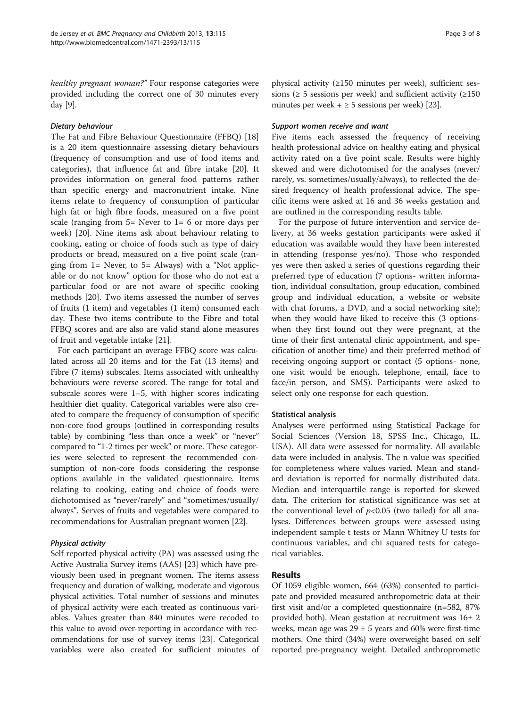healthy pregnant woman?" Four response categories were provided including the correct one of 30 minutes every day [\[9\]](#page-6-0).

#### Dietary behaviour

The Fat and Fibre Behaviour Questionnaire (FFBQ) [[18](#page-7-0)] is a 20 item questionnaire assessing dietary behaviours (frequency of consumption and use of food items and categories), that influence fat and fibre intake [[20\]](#page-7-0). It provides information on general food patterns rather than specific energy and macronutrient intake. Nine items relate to frequency of consumption of particular high fat or high fibre foods, measured on a five point scale (ranging from  $5=$  Never to  $1=6$  or more days per week) [[20\]](#page-7-0). Nine items ask about behaviour relating to cooking, eating or choice of foods such as type of dairy products or bread, measured on a five point scale (ranging from  $1=$  Never, to  $5=$  Always) with a "Not applicable or do not know" option for those who do not eat a particular food or are not aware of specific cooking methods [[20](#page-7-0)]. Two items assessed the number of serves of fruits (1 item) and vegetables (1 item) consumed each day. These two items contribute to the Fibre and total FFBQ scores and are also are valid stand alone measures of fruit and vegetable intake [[21](#page-7-0)].

For each participant an average FFBQ score was calculated across all 20 items and for the Fat (13 items) and Fibre (7 items) subscales. Items associated with unhealthy behaviours were reverse scored. The range for total and subscale scores were 1–5, with higher scores indicating healthier diet quality. Categorical variables were also created to compare the frequency of consumption of specific non-core food groups (outlined in corresponding results table) by combining "less than once a week" or "never" compared to "1-2 times per week" or more. These categories were selected to represent the recommended consumption of non-core foods considering the response options available in the validated questionnaire. Items relating to cooking, eating and choice of foods were dichotomised as "never/rarely" and "sometimes/usually/ always". Serves of fruits and vegetables were compared to recommendations for Australian pregnant women [\[22\]](#page-7-0).

#### Physical activity

Self reported physical activity (PA) was assessed using the Active Australia Survey items (AAS) [\[23\]](#page-7-0) which have previously been used in pregnant women. The items assess frequency and duration of walking, moderate and vigorous physical activities. Total number of sessions and minutes of physical activity were each treated as continuous variables. Values greater than 840 minutes were recoded to this value to avoid over-reporting in accordance with recommendations for use of survey items [\[23\]](#page-7-0). Categorical variables were also created for sufficient minutes of physical activity (≥150 minutes per week), sufficient sessions ( $\geq$  5 sessions per week) and sufficient activity ( $\geq$ 150 minutes per week  $+ \geq 5$  sessions per week) [[23](#page-7-0)].

#### Support women receive and want

Five items each assessed the frequency of receiving health professional advice on healthy eating and physical activity rated on a five point scale. Results were highly skewed and were dichotomised for the analyses (never/ rarely, vs. sometimes/usually/always), to reflected the desired frequency of health professional advice. The specific items were asked at 16 and 36 weeks gestation and are outlined in the corresponding results table.

For the purpose of future intervention and service delivery, at 36 weeks gestation participants were asked if education was available would they have been interested in attending (response yes/no). Those who responded yes were then asked a series of questions regarding their preferred type of education (7 options- written information, individual consultation, group education, combined group and individual education, a website or website with chat forums, a DVD, and a social networking site); when they would have liked to receive this (3 optionswhen they first found out they were pregnant, at the time of their first antenatal clinic appointment, and specification of another time) and their preferred method of receiving ongoing support or contact (5 options- none, one visit would be enough, telephone, email, face to face/in person, and SMS). Participants were asked to select only one response for each question.

#### Statistical analysis

Analyses were performed using Statistical Package for Social Sciences (Version 18, SPSS Inc., Chicago, IL. USA). All data were assessed for normality. All available data were included in analysis. The n value was specified for completeness where values varied. Mean and standard deviation is reported for normally distributed data. Median and interquartile range is reported for skewed data. The criterion for statistical significance was set at the conventional level of  $p<0.05$  (two tailed) for all analyses. Differences between groups were assessed using independent sample t tests or Mann Whitney U tests for continuous variables, and chi squared tests for categorical variables.

# Results

Of 1059 eligible women, 664 (63%) consented to participate and provided measured anthropometric data at their first visit and/or a completed questionnaire (n=582, 87% provided both). Mean gestation at recruitment was 16± 2 weeks, mean age was  $29 \pm 5$  years and 60% were first-time mothers. One third (34%) were overweight based on self reported pre-pregnancy weight. Detailed anthroprometic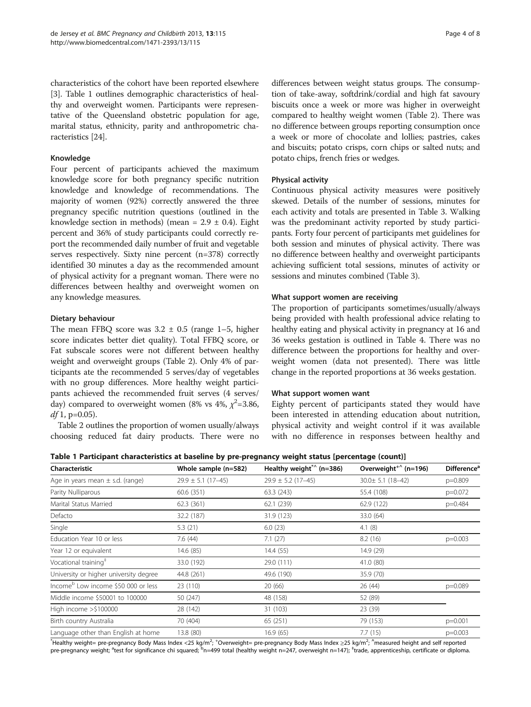characteristics of the cohort have been reported elsewhere [[3\]](#page-6-0). Table 1 outlines demographic characteristics of healthy and overweight women. Participants were representative of the Queensland obstetric population for age, marital status, ethnicity, parity and anthropometric characteristics [\[24\]](#page-7-0).

#### Knowledge

Four percent of participants achieved the maximum knowledge score for both pregnancy specific nutrition knowledge and knowledge of recommendations. The majority of women (92%) correctly answered the three pregnancy specific nutrition questions (outlined in the knowledge section in [methods\)](#page-1-0) (mean =  $2.9 \pm 0.4$ ). Eight percent and 36% of study participants could correctly report the recommended daily number of fruit and vegetable serves respectively. Sixty nine percent (n=378) correctly identified 30 minutes a day as the recommended amount of physical activity for a pregnant woman. There were no differences between healthy and overweight women on any knowledge measures.

#### Dietary behaviour

The mean FFBQ score was  $3.2 \pm 0.5$  (range 1–5, higher score indicates better diet quality). Total FFBQ score, or Fat subscale scores were not different between healthy weight and overweight groups (Table [2](#page-4-0)). Only 4% of participants ate the recommended 5 serves/day of vegetables with no group differences. More healthy weight participants achieved the recommended fruit serves (4 serves/ day) compared to overweight women (8% vs 4%,  $\chi^2$ =3.86,  $df$ 1, p=0.05).

Table [2](#page-4-0) outlines the proportion of women usually/always choosing reduced fat dairy products. There were no

differences between weight status groups. The consumption of take-away, softdrink/cordial and high fat savoury biscuits once a week or more was higher in overweight compared to healthy weight women (Table [2\)](#page-4-0). There was no difference between groups reporting consumption once a week or more of chocolate and lollies; pastries, cakes and biscuits; potato crisps, corn chips or salted nuts; and potato chips, french fries or wedges.

#### Physical activity

Continuous physical activity measures were positively skewed. Details of the number of sessions, minutes for each activity and totals are presented in Table [3](#page-4-0). Walking was the predominant activity reported by study participants. Forty four percent of participants met guidelines for both session and minutes of physical activity. There was no difference between healthy and overweight participants achieving sufficient total sessions, minutes of activity or sessions and minutes combined (Table [3\)](#page-4-0).

#### What support women are receiving

The proportion of participants sometimes/usually/always being provided with health professional advice relating to healthy eating and physical activity in pregnancy at 16 and 36 weeks gestation is outlined in Table [4](#page-5-0). There was no difference between the proportions for healthy and overweight women (data not presented). There was little change in the reported proportions at 36 weeks gestation.

#### What support women want

Eighty percent of participants stated they would have been interested in attending education about nutrition, physical activity and weight control if it was available with no difference in responses between healthy and

Table 1 Participant characteristics at baseline by pre-pregnancy weight status [percentage (count)]

| Characteristic                                  | Whole sample (n=582)   | Healthy weight <sup>*^</sup> (n=386) | Overweight <sup>+<math>\hat{h}</math></sup> (n=196) | <b>Difference</b> <sup>a</sup> |
|-------------------------------------------------|------------------------|--------------------------------------|-----------------------------------------------------|--------------------------------|
| Age in years mean $\pm$ s.d. (range)            | $29.9 \pm 5.1$ (17-45) | $29.9 \pm 5.2$ (17-45)               | $30.0 \pm 5.1$ (18-42)                              | p=0.809                        |
| Parity Nulliparous                              | 60.6 (351)             | 63.3(243)                            | 55.4 (108)                                          | $p=0.072$                      |
| Marital Status Married                          | 62.3(361)              | 62.1 (239)                           | 62.9 (122)                                          | p=0.484                        |
| Defacto                                         | 32.2 (187)             | 31.9 (123)                           | 33.0 (64)                                           |                                |
| Single                                          | 5.3(21)                | 6.0(23)                              | 4.1(8)                                              |                                |
| Education Year 10 or less                       | 7.6(44)                | 7.1(27)                              | 8.2(16)                                             | $p=0.003$                      |
| Year 12 or equivalent                           | 14.6 (85)              | 14.4(55)                             | 14.9 (29)                                           |                                |
| Vocational training <sup>#</sup>                | 33.0 (192)             | 29.0 (111)                           | 41.0 (80)                                           |                                |
| University or higher university degree          | 44.8 (261)             | 49.6 (190)                           | 35.9 (70)                                           |                                |
| Income <sup>b</sup> Low income \$50 000 or less | 23 (110)               | 20(66)                               | 26 (44)                                             | p=0.089                        |
| Middle income \$50001 to 100000                 | 50 (247)               | 48 (158)                             | 52 (89)                                             |                                |
| High income $>$ \$100000                        | 28 (142)               | 31 (103)                             | 23 (39)                                             |                                |
| Birth country Australia                         | 70 (404)               | 65 (251)                             | 79 (153)                                            | $p=0.001$                      |
| Language other than English at home             | 13.8 (80)              | 16.9(65)                             | 7.7(15)                                             | $p=0.003$                      |

\*Healthy weight= pre-pregnancy Body Mass Index <25 kg/m<sup>2</sup>; <sup>+</sup>Overweight= pre-pregnancy Body Mass Index ≥25 kg/m<sup>2</sup>; <sup>^</sup>measured height and self reported pre-pregnancy weight; <sup>a</sup>test for significance chi squared; <sup>b</sup>n=499 total (healthy weight n=247, overweight n=147); ‡trade, apprenticeship, certificate or diploma.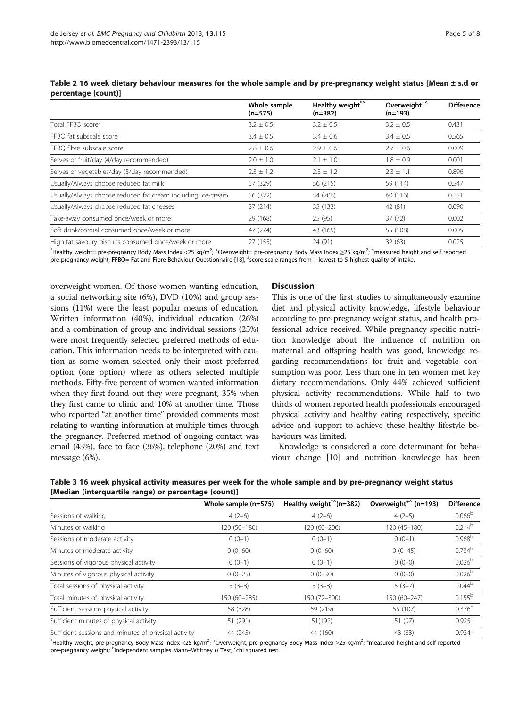|                                                             | Whole sample<br>$(n=575)$ | Healthy weight*^<br>$(n=382)$ | Overweight <sup>+^</sup><br>$(n=193)$ | <b>Difference</b> |
|-------------------------------------------------------------|---------------------------|-------------------------------|---------------------------------------|-------------------|
| Total FFBQ score <sup>a</sup>                               | $3.2 \pm 0.5$             | $3.2 \pm 0.5$                 | $3.2 \pm 0.5$                         | 0.431             |
| FFBO fat subscale score                                     | $3.4 \pm 0.5$             | $3.4 \pm 0.6$                 | $3.4 \pm 0.5$                         | 0.565             |
| FFBO fibre subscale score                                   | $2.8 \pm 0.6$             | $2.9 \pm 0.6$                 | $2.7 \pm 0.6$                         | 0.009             |
| Serves of fruit/day (4/day recommended)                     | $2.0 \pm 1.0$             | $2.1 + 1.0$                   | $1.8 \pm 0.9$                         | 0.001             |
| Serves of vegetables/day (5/day recommended)                | $2.3 \pm 1.2$             | $2.3 + 1.2$                   | $2.3 \pm 1.1$                         | 0.896             |
| Usually/Always choose reduced fat milk                      | 57 (329)                  | 56 (215)                      | 59 (114)                              | 0.547             |
| Usually/Always choose reduced fat cream including ice-cream | 56 (322)                  | 54 (206)                      | 60 (116)                              | 0.151             |
| Usually/Always choose reduced fat cheeses                   | 37 (214)                  | 35 (133)                      | 42 (81)                               | 0.090             |
| Take-away consumed once/week or more                        | 29 (168)                  | 25 (95)                       | 37(72)                                | 0.002             |
| Soft drink/cordial consumed once/week or more               | 47 (274)                  | 43 (165)                      | 55 (108)                              | 0.005             |
| High fat savoury biscuits consumed once/week or more        | 27 (155)                  | 24 (91)                       | 32 (63)                               | 0.025             |

<span id="page-4-0"></span>

|                     | Table 2 16 week dietary behaviour measures for the whole sample and by pre-pregnancy weight status [Mean ± s.d or |  |  |
|---------------------|-------------------------------------------------------------------------------------------------------------------|--|--|
| percentage (count)] |                                                                                                                   |  |  |

 $^*$ Healthy weight= pre-pregnancy Body Mass Index <25 kg/m<sup>2</sup>; <sup>+</sup>Overweight= pre-pregnancy Body Mass Index ≥25 kg/m<sup>2</sup>; ^measured height and self reported pre-pregnancy weight; FFBQ= Fat and Fibre Behaviour Questionnaire [[18\]](#page-7-0), <sup>a</sup>score scale ranges from 1 lowest to 5 highest quality of intake.

overweight women. Of those women wanting education, a social networking site (6%), DVD (10%) and group sessions (11%) were the least popular means of education. Written information (40%), individual education (26%) and a combination of group and individual sessions (25%) were most frequently selected preferred methods of education. This information needs to be interpreted with caution as some women selected only their most preferred option (one option) where as others selected multiple methods. Fifty-five percent of women wanted information when they first found out they were pregnant, 35% when they first came to clinic and 10% at another time. Those who reported "at another time" provided comments most relating to wanting information at multiple times through the pregnancy. Preferred method of ongoing contact was email (43%), face to face (36%), telephone (20%) and text message (6%).

# **Discussion**

This is one of the first studies to simultaneously examine diet and physical activity knowledge, lifestyle behaviour according to pre-pregnancy weight status, and health professional advice received. While pregnancy specific nutrition knowledge about the influence of nutrition on maternal and offspring health was good, knowledge regarding recommendations for fruit and vegetable consumption was poor. Less than one in ten women met key dietary recommendations. Only 44% achieved sufficient physical activity recommendations. While half to two thirds of women reported health professionals encouraged physical activity and healthy eating respectively, specific advice and support to achieve these healthy lifestyle behaviours was limited.

Knowledge is considered a core determinant for behaviour change [\[10\]](#page-6-0) and nutrition knowledge has been

Table 3 16 week physical activity measures per week for the whole sample and by pre-pregnancy weight status [Median (interquartile range) or percentage (count)]

|                                                      | Whole sample (n=575) | Healthy weight <sup>*^</sup> ( $n=382$ ) | Overweight <sup>+<math>\hat{h}</math></sup> (n=193) | <b>Difference</b>  |
|------------------------------------------------------|----------------------|------------------------------------------|-----------------------------------------------------|--------------------|
| Sessions of walking                                  | $4(2-6)$             | $4(2-6)$                                 | $4(2-5)$                                            | 0.066 <sup>b</sup> |
| Minutes of walking                                   | 120 (50-180)         | 120 (60-206)                             | $120(45 - 180)$                                     | $0.214^{b}$        |
| Sessions of moderate activity                        | $0(0-1)$             | $0(0-1)$                                 | $0(0-1)$                                            | 0.968 <sup>b</sup> |
| Minutes of moderate activity                         | $0(0-60)$            | $0(0-60)$                                | $0(0-45)$                                           | 0.734 <sup>b</sup> |
| Sessions of vigorous physical activity               | $0(0-1)$             | $0(0-1)$                                 | $0(0-0)$                                            | $0.026^{b}$        |
| Minutes of vigorous physical activity                | $0(0-25)$            | $0(0-30)$                                | $0(0-0)$                                            | 0.026 <sup>b</sup> |
| Total sessions of physical activity                  | $5(3-8)$             | $5(3-8)$                                 | $5(3-7)$                                            | $0.044^{b}$        |
| Total minutes of physical activity                   | 150 (60-285)         | 150 (72-300)                             | 150 (60-247)                                        | $0.155^{b}$        |
| Sufficient sessions physical activity                | 58 (328)             | 59 (219)                                 | 55 (107)                                            | $0.376^{c}$        |
| Sufficient minutes of physical activity              | 51 (291)             | 51(192)                                  | 51 (97)                                             | 0.925 <sup>c</sup> |
| Sufficient sessions and minutes of physical activity | 44 (245)             | 44 (160)                                 | 43 (83)                                             | 0.934 <sup>c</sup> |

\*Healthy weight, pre-pregnancy Body Mass Index <25 kg/m<sup>2</sup>; <sup>+</sup>Overweight, pre-pregnancy Body Mass Index ≥25 kg/m<sup>2</sup>; <sup>a</sup>measured height and self reported pre-pregnancy weight; <sup>b</sup>independent samples Mann–Whitney U Test; <sup>c</sup>chi squared test.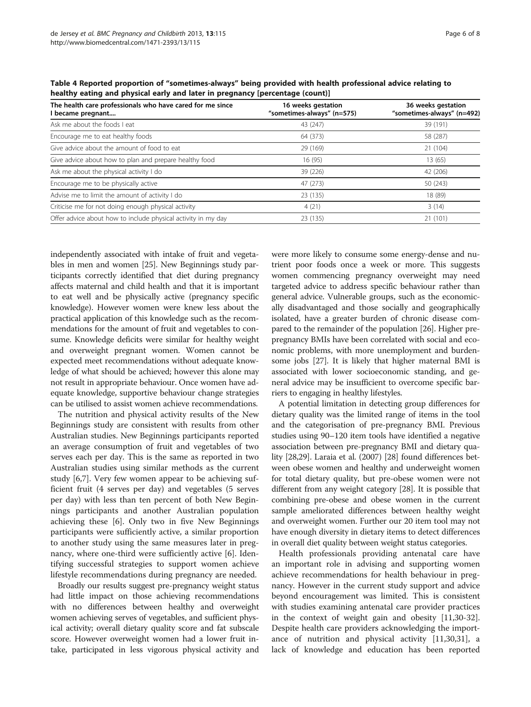| The health care professionals who have cared for me since<br>l became pregnant | 16 weeks gestation<br>"sometimes-always" (n=575) | 36 weeks gestation<br>"sometimes-always" (n=492) |  |
|--------------------------------------------------------------------------------|--------------------------------------------------|--------------------------------------------------|--|
| Ask me about the foods I eat                                                   | 43 (247)                                         | 39 (191)                                         |  |
| Encourage me to eat healthy foods                                              | 64 (373)                                         | 58 (287)                                         |  |
| Give advice about the amount of food to eat                                    | 29 (169)                                         | 21 (104)                                         |  |
| Give advice about how to plan and prepare healthy food                         | 16(95)                                           | 13 (65)                                          |  |
| Ask me about the physical activity I do                                        | 39 (226)                                         | 42 (206)                                         |  |
| Encourage me to be physically active                                           | 47 (273)                                         | 50 (243)                                         |  |
| Advise me to limit the amount of activity I do                                 | 23 (135)                                         | 18 (89)                                          |  |
| Criticise me for not doing enough physical activity                            | 4(21)                                            | 3(14)                                            |  |
| Offer advice about how to include physical activity in my day                  | 23 (135)                                         | 21 (101)                                         |  |

<span id="page-5-0"></span>Table 4 Reported proportion of "sometimes-always" being provided with health professional advice relating to healthy eating and physical early and later in pregnancy [percentage (count)]

independently associated with intake of fruit and vegetables in men and women [\[25\]](#page-7-0). New Beginnings study participants correctly identified that diet during pregnancy affects maternal and child health and that it is important to eat well and be physically active (pregnancy specific knowledge). However women were knew less about the practical application of this knowledge such as the recommendations for the amount of fruit and vegetables to consume. Knowledge deficits were similar for healthy weight and overweight pregnant women. Women cannot be expected meet recommendations without adequate knowledge of what should be achieved; however this alone may not result in appropriate behaviour. Once women have adequate knowledge, supportive behaviour change strategies can be utilised to assist women achieve recommendations.

The nutrition and physical activity results of the New Beginnings study are consistent with results from other Australian studies. New Beginnings participants reported an average consumption of fruit and vegetables of two serves each per day. This is the same as reported in two Australian studies using similar methods as the current study [[6,7\]](#page-6-0). Very few women appear to be achieving sufficient fruit (4 serves per day) and vegetables (5 serves per day) with less than ten percent of both New Beginnings participants and another Australian population achieving these [\[6](#page-6-0)]. Only two in five New Beginnings participants were sufficiently active, a similar proportion to another study using the same measures later in pregnancy, where one-third were sufficiently active [\[6](#page-6-0)]. Identifying successful strategies to support women achieve lifestyle recommendations during pregnancy are needed.

Broadly our results suggest pre-pregnancy weight status had little impact on those achieving recommendations with no differences between healthy and overweight women achieving serves of vegetables, and sufficient physical activity; overall dietary quality score and fat subscale score. However overweight women had a lower fruit intake, participated in less vigorous physical activity and were more likely to consume some energy-dense and nutrient poor foods once a week or more. This suggests women commencing pregnancy overweight may need targeted advice to address specific behaviour rather than general advice. Vulnerable groups, such as the economically disadvantaged and those socially and geographically isolated, have a greater burden of chronic disease compared to the remainder of the population [\[26\]](#page-7-0). Higher prepregnancy BMIs have been correlated with social and economic problems, with more unemployment and burdensome jobs [\[27\]](#page-7-0). It is likely that higher maternal BMI is associated with lower socioeconomic standing, and general advice may be insufficient to overcome specific barriers to engaging in healthy lifestyles.

A potential limitation in detecting group differences for dietary quality was the limited range of items in the tool and the categorisation of pre-pregnancy BMI. Previous studies using 90–120 item tools have identified a negative association between pre-pregnancy BMI and dietary quality [\[28,29\]](#page-7-0). Laraia et al. (2007) [\[28](#page-7-0)] found differences between obese women and healthy and underweight women for total dietary quality, but pre-obese women were not different from any weight category [\[28\]](#page-7-0). It is possible that combining pre-obese and obese women in the current sample ameliorated differences between healthy weight and overweight women. Further our 20 item tool may not have enough diversity in dietary items to detect differences in overall diet quality between weight status categories.

Health professionals providing antenatal care have an important role in advising and supporting women achieve recommendations for health behaviour in pregnancy. However in the current study support and advice beyond encouragement was limited. This is consistent with studies examining antenatal care provider practices in the context of weight gain and obesity [\[11,](#page-6-0)[30-32](#page-7-0)]. Despite health care providers acknowledging the importance of nutrition and physical activity [\[11](#page-6-0)[,30,31](#page-7-0)], a lack of knowledge and education has been reported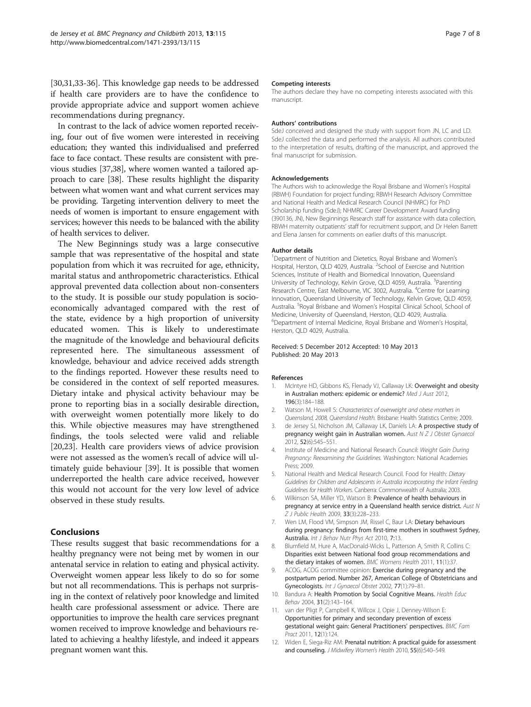<span id="page-6-0"></span>[[30,31,33-36\]](#page-7-0). This knowledge gap needs to be addressed if health care providers are to have the confidence to provide appropriate advice and support women achieve recommendations during pregnancy.

In contrast to the lack of advice women reported receiving, four out of five women were interested in receiving education; they wanted this individualised and preferred face to face contact. These results are consistent with previous studies [[37,38\]](#page-7-0), where women wanted a tailored approach to care [[38](#page-7-0)]. These results highlight the disparity between what women want and what current services may be providing. Targeting intervention delivery to meet the needs of women is important to ensure engagement with services; however this needs to be balanced with the ability of health services to deliver.

The New Beginnings study was a large consecutive sample that was representative of the hospital and state population from which it was recruited for age, ethnicity, marital status and anthropometric characteristics. Ethical approval prevented data collection about non-consenters to the study. It is possible our study population is socioeconomically advantaged compared with the rest of the state, evidence by a high proportion of university educated women. This is likely to underestimate the magnitude of the knowledge and behavioural deficits represented here. The simultaneous assessment of knowledge, behaviour and advice received adds strength to the findings reported. However these results need to be considered in the context of self reported measures. Dietary intake and physical activity behaviour may be prone to reporting bias in a socially desirable direction, with overweight women potentially more likely to do this. While objective measures may have strengthened findings, the tools selected were valid and reliable [[20,23\]](#page-7-0). Health care providers views of advice provision were not assessed as the women's recall of advice will ultimately guide behaviour [[39\]](#page-7-0). It is possible that women underreported the health care advice received, however this would not account for the very low level of advice observed in these study results.

# **Conclusions**

These results suggest that basic recommendations for a healthy pregnancy were not being met by women in our antenatal service in relation to eating and physical activity. Overweight women appear less likely to do so for some but not all recommendations. This is perhaps not surprising in the context of relatively poor knowledge and limited health care professional assessment or advice. There are opportunities to improve the health care services pregnant women received to improve knowledge and behaviours related to achieving a healthy lifestyle, and indeed it appears pregnant women want this.

#### Competing interests

The authors declare they have no competing interests associated with this manuscript.

#### Authors' contributions

SdeJ conceived and designed the study with support from JN, LC and LD. SdeJ collected the data and performed the analysis. All authors contributed to the interpretation of results, drafting of the manuscript, and approved the final manuscript for submission.

#### Acknowledgements

The Authors wish to acknowledge the Royal Brisbane and Women's Hospital (RBWH) Foundation for project funding; RBWH Research Advisory Committee and National Health and Medical Research Council (NHMRC) for PhD Scholarship funding (SdeJ); NHMRC Career Development Award funding (390136, JN), New Beginnings Research staff for assistance with data collection, RBWH maternity outpatients' staff for recruitment support, and Dr Helen Barrett and Elena Jansen for comments on earlier drafts of this manuscript.

#### Author details

<sup>1</sup>Department of Nutrition and Dietetics, Royal Brisbane and Women's Hospital, Herston, QLD 4029, Australia. <sup>2</sup>School of Exercise and Nutrition Sciences, Institute of Health and Biomedical Innovation, Queensland University of Technology, Kelvin Grove, QLD 4059, Australia. <sup>3</sup>Parenting Research Centre, East Melbourne, VIC 3002, Australia. <sup>4</sup>Centre for Learning Innovation, Queensland University of Technology, Kelvin Grove, QLD 4059, Australia. <sup>5</sup>Royal Brisbane and Women's Hospital Clinical School, School of Medicine, University of Queensland, Herston, QLD 4029, Australia. 6 Department of Internal Medicine, Royal Brisbane and Women's Hospital, Herston, QLD 4029, Australia.

#### Received: 5 December 2012 Accepted: 10 May 2013 Published: 20 May 2013

#### References

- McIntyre HD, Gibbons KS, Flenady VJ, Callaway LK: Overweight and obesity in Australian mothers: epidemic or endemic? Med J Aust 2012, 196(3):184–188.
- 2. Watson M, Howell S: Characteristics of overweight and obese mothers in Queensland, 2008, Queensland Health. Brisbane: Health Statistics Centre; 2009.
- 3. de Jersey SJ, Nicholson JM, Callaway LK, Daniels LA: A prospective study of pregnancy weight gain in Australian women. Aust N Z J Obstet Gynaecol 2012, 52(6):545–551.
- 4. Institute of Medicine and National Research Council: Weight Gain During Pregnancy: Reexamining the Guidelines. Washington: National Academies Press; 2009.
- National Health and Medical Research Council. Food for Health: Dietary Guidelines for Children and Adolescents in Australia incorporating the Infant Feeding Guidelines for Health Workers. Canberra: Commonwealth of Australia; 2003.
- 6. Wilkinson SA, Miller YD, Watson B: Prevalence of health behaviours in pregnancy at service entry in a Queensland health service district. Aust N Z J Public Health 2009, 33(3):228–233.
- 7. Wen LM, Flood VM, Simpson JM, Rissel C, Baur LA: Dietary behaviours during pregnancy: findings from first-time mothers in southwest Sydney, Australia. Int J Behav Nutr Phys Act 2010, 7:13.
- 8. Blumfield M, Hure A, MacDonald-Wicks L, Patterson A, Smith R, Collins C: Disparities exist between National food group recommendations and the dietary intakes of women. BMC Womens Health 2011, 11(1):37.
- 9. ACOG, ACOG committee opinion: Exercise during pregnancy and the postpartum period. Number 267, American College of Obstetricians and Gynecologists. Int J Gynaecol Obstet 2002, 77(1):79–81.
- 10. Bandura A: Health Promotion by Social Cognitive Means. Health Educ Behav 2004, 31(2):143–164.
- 11. van der Pligt P, Campbell K, Willcox J, Opie J, Denney-Wilson E: Opportunities for primary and secondary prevention of excess gestational weight gain: General Practitioners' perspectives. BMC Fam Pract 2011, 12(1):124.
- 12. Widen E, Siega-Riz AM: Prenatal nutrition: A practical guide for assessment and counseling. J Midwifery Women's Health 2010, 55(6):540-549.